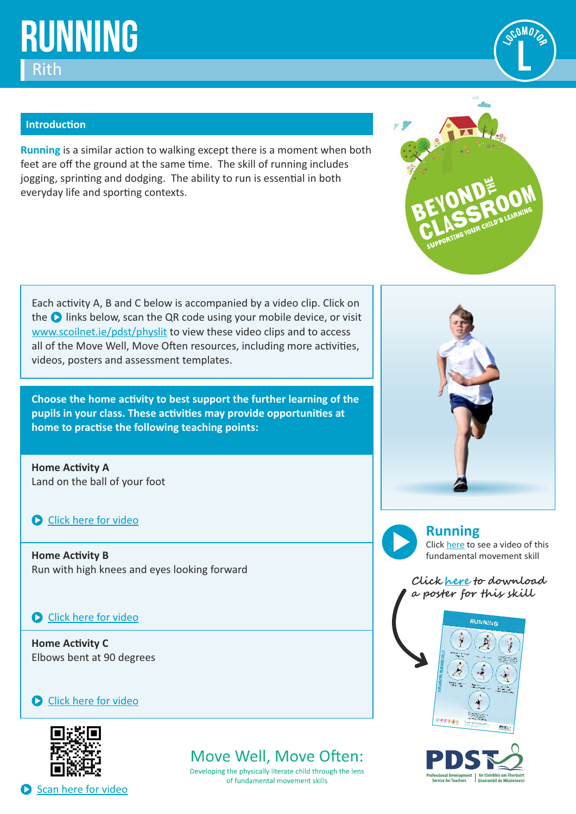# **Running** Rith

### **Introduction**

**Running** is a similar action to walking except there is a moment when both feet are off the ground at the same time. The skill of running includes jogging, sprinting and dodging. The ability to run is essential in both everyday life and sporting contexts.

Each activity A, B and C below is accompanied by a video clip. Click on the **O** links below, scan the QR code using your mobile device, or visit [www.scoilnet.ie/pdst/physlit](https://www.scoilnet.ie/pdst/physlit/) to view these video clips and to access all of the Move Well, Move Often resources, including more activities, videos, posters and assessment templates.

**Choose the home activity to best support the further learning of the** pupils in your class. These activities may provide opportunities at home to practise the following teaching points:

**Home Activity A** Land on the ball of your foot

**O** [Click here for video](https://vimeo.com/404404521)

**Home Activity B** Run with high knees and eyes looking forward

### **Click here for video**

**Home Activity C** Elbows bent at 90 degrees

### **C** [Click here for video](https://vimeo.com/404412589)



Scan here for video

# Move Well, Move Often:

Developing the physically literate child through the lens of fundamental movement skills





**Running**

Clic[k here](https://vimeo.com/211489161) to see a video of this fundamental movement skill

**Click [here](https://pdst.ie/sites/default/files/PDST%20FMS%20Posters%20English.pdf) to download a poster for this skill**





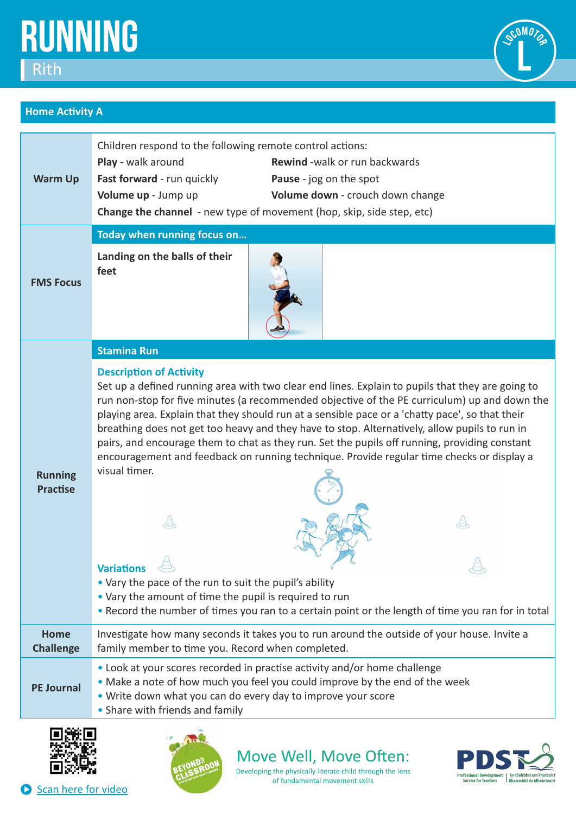



## **Home Activity A**

| <b>Warm Up</b>                    | Children respond to the following remote control actions:<br>Play - walk around<br><b>Rewind</b> -walk or run backwards<br>Fast forward - run quickly<br>Pause - jog on the spot<br>Volume up - Jump up<br>Volume down - crouch down change<br>Change the channel - new type of movement (hop, skip, side step, etc)                                                                                                                                                                                                                                                                                                                                                                                                                                                                                                                                                                                                      |  |  |  |
|-----------------------------------|---------------------------------------------------------------------------------------------------------------------------------------------------------------------------------------------------------------------------------------------------------------------------------------------------------------------------------------------------------------------------------------------------------------------------------------------------------------------------------------------------------------------------------------------------------------------------------------------------------------------------------------------------------------------------------------------------------------------------------------------------------------------------------------------------------------------------------------------------------------------------------------------------------------------------|--|--|--|
| <b>FMS Focus</b>                  | Today when running focus on                                                                                                                                                                                                                                                                                                                                                                                                                                                                                                                                                                                                                                                                                                                                                                                                                                                                                               |  |  |  |
|                                   | Landing on the balls of their<br>feet                                                                                                                                                                                                                                                                                                                                                                                                                                                                                                                                                                                                                                                                                                                                                                                                                                                                                     |  |  |  |
|                                   | <b>Stamina Run</b>                                                                                                                                                                                                                                                                                                                                                                                                                                                                                                                                                                                                                                                                                                                                                                                                                                                                                                        |  |  |  |
| <b>Running</b><br><b>Practise</b> | <b>Description of Activity</b><br>Set up a defined running area with two clear end lines. Explain to pupils that they are going to<br>run non-stop for five minutes (a recommended objective of the PE curriculum) up and down the<br>playing area. Explain that they should run at a sensible pace or a 'chatty pace', so that their<br>breathing does not get too heavy and they have to stop. Alternatively, allow pupils to run in<br>pairs, and encourage them to chat as they run. Set the pupils off running, providing constant<br>encouragement and feedback on running technique. Provide regular time checks or display a<br>visual timer.<br><b>Variations</b><br>$\Leftrightarrow$<br>• Vary the pace of the run to suit the pupil's ability<br>• Vary the amount of time the pupil is required to run<br>. Record the number of times you ran to a certain point or the length of time you ran for in total |  |  |  |
| <b>Home</b><br><b>Challenge</b>   | Investigate how many seconds it takes you to run around the outside of your house. Invite a<br>family member to time you. Record when completed.                                                                                                                                                                                                                                                                                                                                                                                                                                                                                                                                                                                                                                                                                                                                                                          |  |  |  |
|                                   | • Look at your scores recorded in practise activity and/or home challenge                                                                                                                                                                                                                                                                                                                                                                                                                                                                                                                                                                                                                                                                                                                                                                                                                                                 |  |  |  |
| <b>PE Journal</b>                 | . Make a note of how much you feel you could improve by the end of the week<br>. Write down what you can do every day to improve your score<br>• Share with friends and family                                                                                                                                                                                                                                                                                                                                                                                                                                                                                                                                                                                                                                                                                                                                            |  |  |  |





Move Well, Move Often: Developing the physically literate child through the lens

of fundamental movement skills



Scan here for video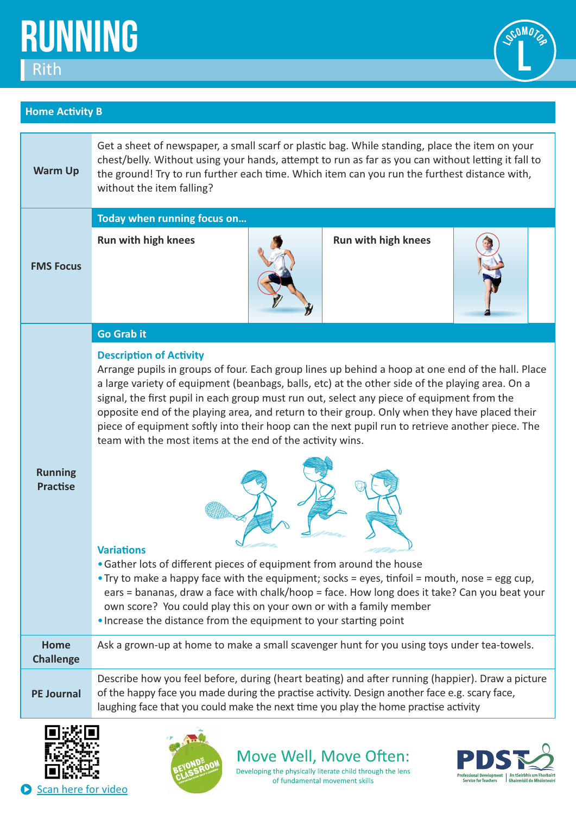



## **Home Activity B**

| <b>Warm Up</b>                    | Get a sheet of newspaper, a small scarf or plastic bag. While standing, place the item on your<br>chest/belly. Without using your hands, attempt to run as far as you can without letting it fall to<br>the ground! Try to run further each time. Which item can you run the furthest distance with,<br>without the item falling?                                                                                                                                                                                                                                                                     |  |                            |  |  |
|-----------------------------------|-------------------------------------------------------------------------------------------------------------------------------------------------------------------------------------------------------------------------------------------------------------------------------------------------------------------------------------------------------------------------------------------------------------------------------------------------------------------------------------------------------------------------------------------------------------------------------------------------------|--|----------------------------|--|--|
|                                   | Today when running focus on                                                                                                                                                                                                                                                                                                                                                                                                                                                                                                                                                                           |  |                            |  |  |
| <b>FMS Focus</b>                  | <b>Run with high knees</b>                                                                                                                                                                                                                                                                                                                                                                                                                                                                                                                                                                            |  | <b>Run with high knees</b> |  |  |
| <b>Running</b><br><b>Practise</b> | <b>Go Grab it</b>                                                                                                                                                                                                                                                                                                                                                                                                                                                                                                                                                                                     |  |                            |  |  |
|                                   | <b>Description of Activity</b><br>Arrange pupils in groups of four. Each group lines up behind a hoop at one end of the hall. Place<br>a large variety of equipment (beanbags, balls, etc) at the other side of the playing area. On a<br>signal, the first pupil in each group must run out, select any piece of equipment from the<br>opposite end of the playing area, and return to their group. Only when they have placed their<br>piece of equipment softly into their hoop can the next pupil run to retrieve another piece. The<br>team with the most items at the end of the activity wins. |  |                            |  |  |
|                                   | <b>Variations</b><br>• Gather lots of different pieces of equipment from around the house<br>• Try to make a happy face with the equipment; socks = eyes, tinfoil = mouth, nose = egg cup,<br>ears = bananas, draw a face with chalk/hoop = face. How long does it take? Can you beat your<br>own score? You could play this on your own or with a family member<br>. Increase the distance from the equipment to your starting point                                                                                                                                                                 |  |                            |  |  |
| <b>Home</b><br><b>Challenge</b>   | Ask a grown-up at home to make a small scavenger hunt for you using toys under tea-towels.                                                                                                                                                                                                                                                                                                                                                                                                                                                                                                            |  |                            |  |  |
| <b>PE Journal</b>                 | Describe how you feel before, during (heart beating) and after running (happier). Draw a picture<br>of the happy face you made during the practise activity. Design another face e.g. scary face,<br>laughing face that you could make the next time you play the home practise activity                                                                                                                                                                                                                                                                                                              |  |                            |  |  |
|                                   | — <u>. .</u>                                                                                                                                                                                                                                                                                                                                                                                                                                                                                                                                                                                          |  |                            |  |  |





Move Well, Move Often: Developing the physically literate child through the lens

of fundamental movement skills

Professional Development | An tSeirbhís um Fhorbairt<br>| Service for Teachers | Ghairmiúil do Mhúinteoirí

Scan here for video